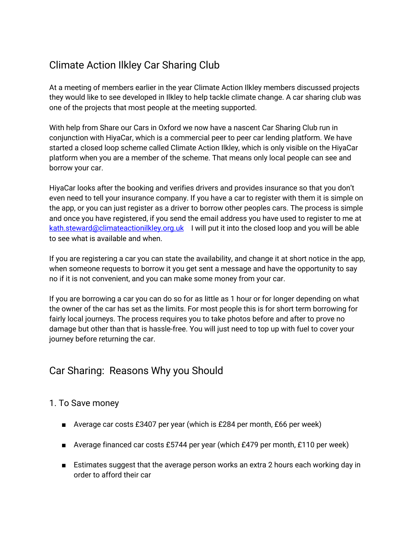# Climate Action Ilkley Car Sharing Club

At a meeting of members earlier in the year Climate Action Ilkley members discussed projects they would like to see developed in Ilkley to help tackle climate change. A car sharing club was one of the projects that most people at the meeting supported.

With help from Share our Cars in Oxford we now have a nascent Car Sharing Club run in conjunction with HiyaCar, which is a commercial peer to peer car lending platform. We have started a closed loop scheme called Climate Action Ilkley, which is only visible on the HiyaCar platform when you are a member of the scheme. That means only local people can see and borrow your car.

HiyaCar looks after the booking and verifies drivers and provides insurance so that you don't even need to tell your insurance company. If you have a car to register with them it is simple on the app, or you can just register as a driver to borrow other peoples cars. The process is simple and once you have registered, if you send the email address you have used to register to me at kath.steward@climateactionilkley.org.uk I will put it into the closed loop and you will be able to see what is available and when.

If you are registering a car you can state the availability, and change it at short notice in the app, when someone requests to borrow it you get sent a message and have the opportunity to say no if it is not convenient, and you can make some money from your car.

If you are borrowing a car you can do so for as little as 1 hour or for longer depending on what the owner of the car has set as the limits. For most people this is for short term borrowing for fairly local journeys. The process requires you to take photos before and after to prove no damage but other than that is hassle-free. You will just need to top up with fuel to cover your journey before returning the car.

## Car Sharing: Reasons Why you Should

#### 1. To Save money

- Average car costs £3407 per year (which is £284 per month, £66 per week)
- Average financed car costs £5744 per year (which £479 per month, £110 per week)
- Estimates suggest that the average person works an extra 2 hours each working day in order to afford their car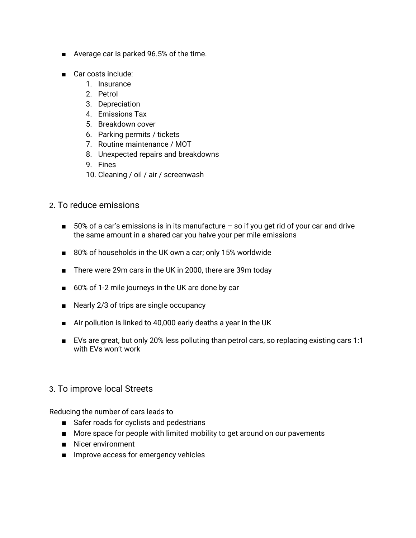- Average car is parked 96.5% of the time.
- Car costs include:
	- 1. Insurance
	- 2. Petrol
	- 3. Depreciation
	- 4. Emissions Tax
	- 5. Breakdown cover
	- 6. Parking permits / tickets
	- 7. Routine maintenance / MOT
	- 8. Unexpected repairs and breakdowns
	- 9. Fines
	- 10. Cleaning / oil / air / screenwash
- 2. To reduce emissions
	- 50% of a car's emissions is in its manufacture so if you get rid of your car and drive the same amount in a shared car you halve your per mile emissions
	- 80% of households in the UK own a car; only 15% worldwide
	- There were 29m cars in the UK in 2000, there are 39m today
	- 60% of 1-2 mile journeys in the UK are done by car
	- Nearly 2/3 of trips are single occupancy
	- Air pollution is linked to 40,000 early deaths a year in the UK
	- EVs are great, but only 20% less polluting than petrol cars, so replacing existing cars 1:1 with EVs won't work

#### 3. To improve local Streets

Reducing the number of cars leads to

- Safer roads for cyclists and pedestrians
- More space for people with limited mobility to get around on our pavements
- Nicer environment
- Improve access for emergency vehicles